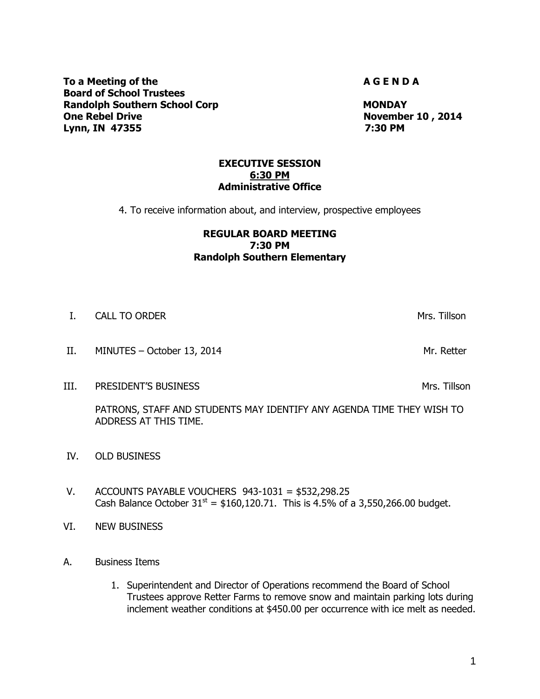**To a Meeting of the A G E N D A** G E N D A **Board of School Trustees Randolph Southern School Corp MONDAY MONDAY One Rebel Drive Cone Rebel Drive Cone Rebel Drive Cone Rebel Drive Cone Rebel Drive Cone Rebel Drive Cone Reb Lynn, IN 47355 7:30 PM**

#### **EXECUTIVE SESSION 6:30 PM Administrative Office**

4. To receive information about, and interview, prospective employees

# **REGULAR BOARD MEETING 7:30 PM Randolph Southern Elementary**

- I. CALL TO ORDER THE CALL TO ORDER THE CALL TO ORDER THE CALL TO ORDER THE CALL TO ORDER THE CALL TO ORDER THE CALL TO ORDER THE CALL TO ORDER THE CALL TO ORDER THE CALL TO ORDER THE CALL TO ORDER THE CALL TO ORDER THE CAL
- II. MINUTES October 13, 2014
- **III.** PRESIDENT'S BUSINESS MANUSIC SERVICES AND THE SERVICES OF STRING STRING STRINGS

PATRONS, STAFF AND STUDENTS MAY IDENTIFY ANY AGENDA TIME THEY WISH TO ADDRESS AT THIS TIME.

- IV. OLD BUSINESS
- V. ACCOUNTS PAYABLE VOUCHERS 943-1031 = \$532,298.25 Cash Balance October  $31^{st} = $160,120.71$ . This is 4.5% of a 3,550,266.00 budget.
- VI. NEW BUSINESS
- A. Business Items
	- 1. Superintendent and Director of Operations recommend the Board of School Trustees approve Retter Farms to remove snow and maintain parking lots during inclement weather conditions at \$450.00 per occurrence with ice melt as needed.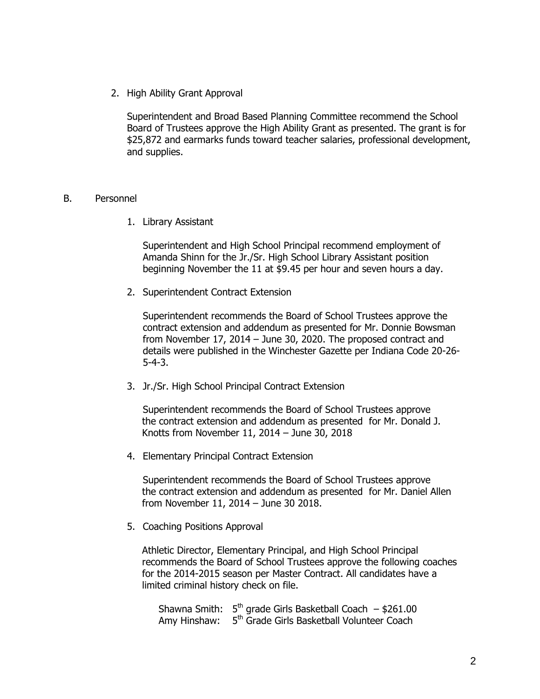2. High Ability Grant Approval

Superintendent and Broad Based Planning Committee recommend the School Board of Trustees approve the High Ability Grant as presented. The grant is for \$25,872 and earmarks funds toward teacher salaries, professional development, and supplies.

#### B. Personnel

1. Library Assistant

Superintendent and High School Principal recommend employment of Amanda Shinn for the Jr./Sr. High School Library Assistant position beginning November the 11 at \$9.45 per hour and seven hours a day.

2. Superintendent Contract Extension

Superintendent recommends the Board of School Trustees approve the contract extension and addendum as presented for Mr. Donnie Bowsman from November 17, 2014 – June 30, 2020. The proposed contract and details were published in the Winchester Gazette per Indiana Code 20-26- 5-4-3.

3. Jr./Sr. High School Principal Contract Extension

Superintendent recommends the Board of School Trustees approve the contract extension and addendum as presented for Mr. Donald J. Knotts from November 11, 2014 – June 30, 2018

4. Elementary Principal Contract Extension

Superintendent recommends the Board of School Trustees approve the contract extension and addendum as presented for Mr. Daniel Allen from November 11, 2014 – June 30 2018.

5. Coaching Positions Approval

Athletic Director, Elementary Principal, and High School Principal recommends the Board of School Trustees approve the following coaches for the 2014-2015 season per Master Contract. All candidates have a limited criminal history check on file.

Shawna Smith:  $5<sup>th</sup>$  grade Girls Basketball Coach  $-$  \$261.00 Amy Hinshaw: 5<sup>th</sup> Grade Girls Basketball Volunteer Coach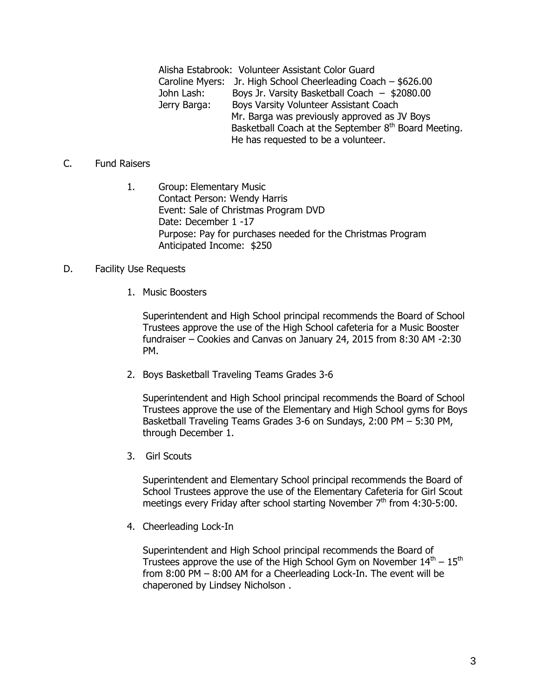Alisha Estabrook: Volunteer Assistant Color Guard Caroline Myers: Jr. High School Cheerleading Coach – \$626.00 John Lash: Boys Jr. Varsity Basketball Coach – \$2080.00 Jerry Barga: Boys Varsity Volunteer Assistant Coach Mr. Barga was previously approved as JV Boys Basketball Coach at the September 8<sup>th</sup> Board Meeting. He has requested to be a volunteer.

# C. Fund Raisers

1. Group: Elementary Music Contact Person: Wendy Harris Event: Sale of Christmas Program DVD Date: December 1 -17 Purpose: Pay for purchases needed for the Christmas Program Anticipated Income: \$250

# D. Facility Use Requests

1. Music Boosters

Superintendent and High School principal recommends the Board of School Trustees approve the use of the High School cafeteria for a Music Booster fundraiser – Cookies and Canvas on January 24, 2015 from 8:30 AM -2:30 PM.

2. Boys Basketball Traveling Teams Grades 3-6

Superintendent and High School principal recommends the Board of School Trustees approve the use of the Elementary and High School gyms for Boys Basketball Traveling Teams Grades 3-6 on Sundays, 2:00 PM – 5:30 PM, through December 1.

3. Girl Scouts

Superintendent and Elementary School principal recommends the Board of School Trustees approve the use of the Elementary Cafeteria for Girl Scout meetings every Friday after school starting November  $7<sup>th</sup>$  from 4:30-5:00.

4. Cheerleading Lock-In

Superintendent and High School principal recommends the Board of Trustees approve the use of the High School Gym on November  $14^{\text{th}}$  –  $15^{\text{th}}$ from 8:00 PM – 8:00 AM for a Cheerleading Lock-In. The event will be chaperoned by Lindsey Nicholson .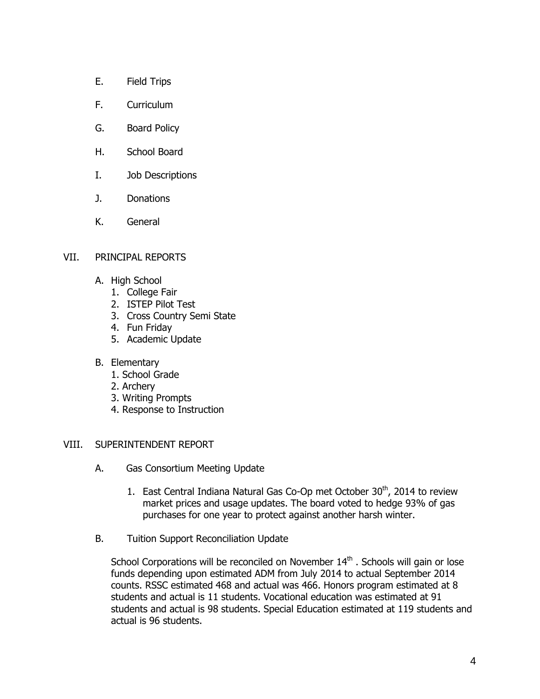- E. Field Trips
- F. Curriculum
- G. Board Policy
- H. School Board
- I. Job Descriptions
- J. Donations
- K. General

# VII. PRINCIPAL REPORTS

- A. High School
	- 1. College Fair
	- 2. ISTEP Pilot Test
	- 3. Cross Country Semi State
	- 4. Fun Friday
	- 5. Academic Update
- B. Elementary
	- 1. School Grade
	- 2. Archery
	- 3. Writing Prompts
	- 4. Response to Instruction

# VIII. SUPERINTENDENT REPORT

- A. Gas Consortium Meeting Update
	- 1. East Central Indiana Natural Gas Co-Op met October  $30<sup>th</sup>$ , 2014 to review market prices and usage updates. The board voted to hedge 93% of gas purchases for one year to protect against another harsh winter.
- B. Tuition Support Reconciliation Update

School Corporations will be reconciled on November 14<sup>th</sup>. Schools will gain or lose funds depending upon estimated ADM from July 2014 to actual September 2014 counts. RSSC estimated 468 and actual was 466. Honors program estimated at 8 students and actual is 11 students. Vocational education was estimated at 91 students and actual is 98 students. Special Education estimated at 119 students and actual is 96 students.